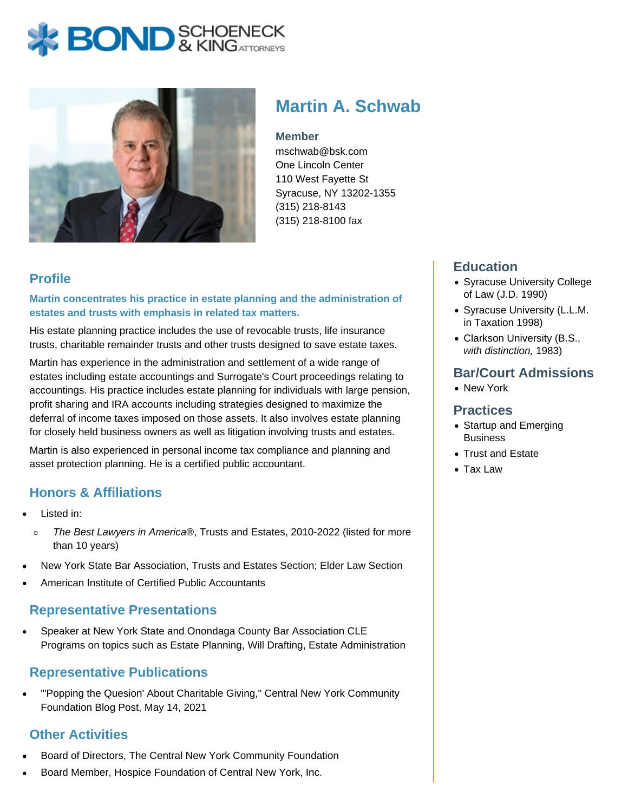# **BOND** & KING ATTORNECK



# **Martin A. Schwab**

#### **Member**

mschwab@bsk.com One Lincoln Center 110 West Fayette St Syracuse, NY 13202-1355 (315) 218-8143 (315) 218-8100 fax

### **Profile**

#### **Martin concentrates his practice in estate planning and the administration of estates and trusts with emphasis in related tax matters.**

His estate planning practice includes the use of revocable trusts, life insurance trusts, charitable remainder trusts and other trusts designed to save estate taxes.

Martin has experience in the administration and settlement of a wide range of estates including estate accountings and Surrogate's Court proceedings relating to accountings. His practice includes estate planning for individuals with large pension, profit sharing and IRA accounts including strategies designed to maximize the deferral of income taxes imposed on those assets. It also involves estate planning for closely held business owners as well as litigation involving trusts and estates.

Martin is also experienced in personal income tax compliance and planning and asset protection planning. He is a certified public accountant.

### **Honors & Affiliations**

- Listed in:
- The Best Lawyers in America®, Trusts and Estates, 2010-2022 (listed for more  $\circ$ than 10 years)
- New York State Bar Association, Trusts and Estates Section; Elder Law Section
- American Institute of Certified Public Accountants

#### **Representative Presentations**

Speaker at New York State and Onondaga County Bar Association CLE Programs on topics such as Estate Planning, Will Drafting, Estate Administration

#### **Representative Publications**

"'Popping the Quesion' About Charitable Giving," Central New York Community Foundation Blog Post, May 14, 2021

## **Other Activities**

- Board of Directors, The Central New York Community Foundation
- Board Member, Hospice Foundation of Central New York, Inc.

#### **Education**

- Syracuse University College of Law (J.D. 1990)
- Syracuse University (L.L.M. in Taxation 1998)
- Clarkson University (B.S., with distinction, 1983)

#### **Bar/Court Admissions**

New York

#### **Practices**

- Startup and Emerging **Business**
- Trust and Estate
- Tax Law